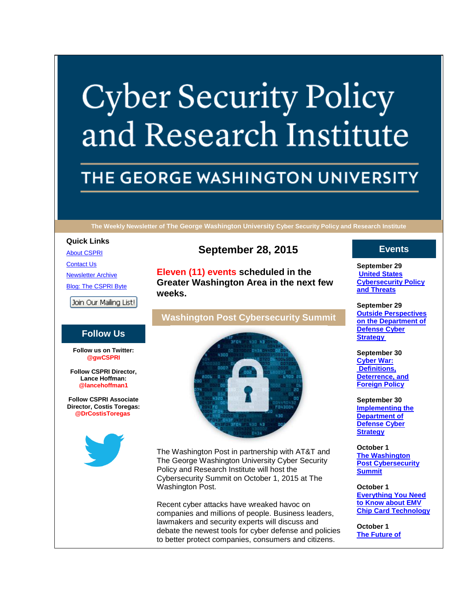# **Cyber Security Policy** and Research Institute

## THE GEORGE WASHINGTON UNIVERSITY

**The Weekly Newsletter of The George Washington University Cyber Security Policy and Research Institute**

**September 28, 2015**

**Washington Post Cybersecurity Summit**

**Eleven (11) events scheduled in the Greater Washington Area in the next few** 

**weeks.**

#### **Quick Links**

**[About CSPRI](http://www.cspri.seas.gwu.edu/about/)** 

[Contact Us](http://www.cspri.seas.gwu.edu/contact-us/) [Newsletter Archive](http://www.cspri.seas.gwu.edu/newsletterslinks) [Blog: The CSPRI Byte](http://www.cspri.seas.gwu.edu/blog/)

Join Our Mailing List!

#### **Follow Us**

**Follow us on Twitter: @gwCSPRI**

**Follow CSPRI Director, Lance Hoffman: @lancehoffman1**

**Follow CSPRI Associate Director, Costis Toregas: @DrCostisToregas**





The Washington Post in partnership with AT&T and The George Washington University Cyber Security Policy and Research Institute will host the Cybersecurity Summit on October 1, 2015 at The Washington Post.

Recent cyber attacks have wreaked havoc on companies and millions of people. Business leaders, lawmakers and security experts will discuss and debate the newest tools for cyber defense and policies to better protect companies, consumers and citizens.

#### **Events**

**September 29 [United States](http://www.cspri.seas.gwu.edu/event-descriptions)  [Cybersecurity Policy](http://www.cspri.seas.gwu.edu/event-descriptions)  [and Threats](http://www.cspri.seas.gwu.edu/event-descriptions)**

**September 29 [Outside Perspectives](http://www.cspri.seas.gwu.edu/event-descriptions)  [on the Department of](http://www.cspri.seas.gwu.edu/event-descriptions)  [Defense Cyber](http://www.cspri.seas.gwu.edu/event-descriptions)  [Strategy](http://www.cspri.seas.gwu.edu/event-descriptions)**

**September 30 [Cyber War:](http://www.cspri.seas.gwu.edu/event-descriptions)  [Definitions,](http://www.cspri.seas.gwu.edu/event-descriptions)  [Deterrence, and](http://www.cspri.seas.gwu.edu/event-descriptions)  [Foreign Policy](http://www.cspri.seas.gwu.edu/event-descriptions)**

**September 30 [Implementing the](http://www.cspri.seas.gwu.edu/event-descriptions)  [Department of](http://www.cspri.seas.gwu.edu/event-descriptions)  [Defense Cyber](http://www.cspri.seas.gwu.edu/event-descriptions)  [Strategy](http://www.cspri.seas.gwu.edu/event-descriptions)**

**October 1 [The Washington](http://www.cspri.seas.gwu.edu/event-descriptions)  Post [Cybersecurity](http://www.cspri.seas.gwu.edu/event-descriptions)  [Summit](http://www.cspri.seas.gwu.edu/event-descriptions)**

**October 1 [Everything You Need](http://www.cspri.seas.gwu.edu/event-descriptions)  [to Know about EMV](http://www.cspri.seas.gwu.edu/event-descriptions)  [Chip Card Technology](http://www.cspri.seas.gwu.edu/event-descriptions)**

**October 1 [The Future of](http://www.cspri.seas.gwu.edu/event-descriptions)**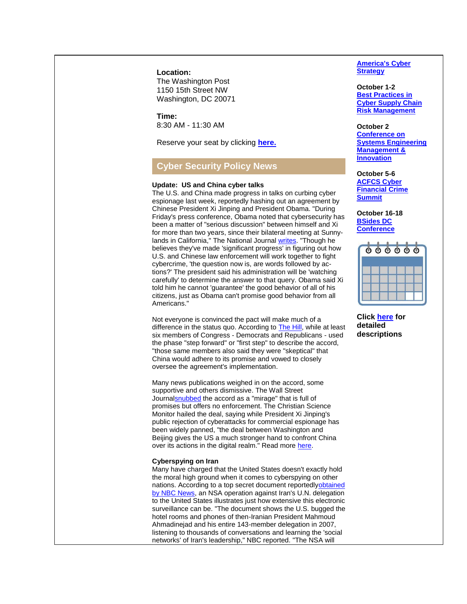**Location:**

The Washington Post 1150 15th Street NW Washington, DC 20071

**Time:** 8:30 AM - 11:30 AM

Reserve your seat by clicking **[here.](https://www.cvent.com/events/cybersecurity-summit/registration-f4b18885c0974f609afb6c0d192f8181.aspx)**

### **Cyber Security Policy News**

#### **Update: US and China cyber talks**

The U.S. and China made progress in talks on curbing cyber espionage last week, reportedly hashing out an agreement by Chinese President Xi Jinping and President Obama. "During Friday's press conference, Obama noted that cybersecurity has been a matter of "serious discussion" between himself and Xi for more than two years, since their bilateral meeting at Sunnylands in California," The National Journal [writes.](http://www.nationaljournal.com/s/73870/president-obama-chinese-president-xi-jinping-announce-cybersecurity-agreement?mref=landing-list) "Though he believes they've made 'significant progress' in figuring out how U.S. and Chinese law enforcement will work together to fight cybercrime, 'the question now is, are words followed by actions?' The president said his administration will be 'watching carefully' to determine the answer to that query. Obama said Xi told him he cannot 'guarantee' the good behavior of all of his citizens, just as Obama can't promise good behavior from all Americans."

Not everyone is convinced the pact will make much of a difference in the status quo. According to **The Hill**, while at least six members of Congress - Democrats and Republicans - used the phase "step forward" or "first step" to describe the accord, "those same members also said they were "skeptical" that China would adhere to its promise and vowed to closely oversee the agreement's implementation.

Many news publications weighed in on the accord, some supportive and others dismissive. The Wall Street Journ[alsnubbed](http://www.wsj.com/articles/the-obama-xi-cyber-mirage-1443387248) the accord as a "mirage" that is full of promises but offers no enforcement. The Christian Science Monitor hailed the deal, saying while President Xi Jinping's public rejection of cyberattacks for commercial espionage has been widely panned, "the deal between Washington and Beijing gives the US a much stronger hand to confront China over its actions in the digital realm." Read more [here.](http://www.csmonitor.com/World/Passcode/Passcode-Voices/2015/0925/Opinion-Even-if-flawed-cybertheft-deal-with-China-a-win-for-Obama)

#### **Cyberspying on Iran**

Many have charged that the United States doesn't exactly hold the moral high ground when it comes to cyberspying on other nations. According to a top secret document reportedl[yobtained](http://www.nbcnews.com/news/us-news/secret-document-shows-nsa-spied-iran-un-delegation-new-york-n431861)  [by NBC News,](http://www.nbcnews.com/news/us-news/secret-document-shows-nsa-spied-iran-un-delegation-new-york-n431861) an NSA operation against Iran's U.N. delegation to the United States illustrates just how extensive this electronic surveillance can be. "The document shows the U.S. bugged the hotel rooms and phones of then-Iranian President Mahmoud Ahmadinejad and his entire 143-member delegation in 2007, listening to thousands of conversations and learning the 'social networks' of Iran's leadership," NBC reported. "The NSA will

**America's Cyber Strategy**

**October 1-2 [Best Practices in](http://www.cspri.seas.gwu.edu/event-descriptions)  [Cyber Supply Chain](http://www.cspri.seas.gwu.edu/event-descriptions)  [Risk Management](http://www.cspri.seas.gwu.edu/event-descriptions)**

**October 2 [Conference on](http://www.cspri.seas.gwu.edu/event-descriptions)  [Systems Engineering](http://www.cspri.seas.gwu.edu/event-descriptions)  [Management &](http://www.cspri.seas.gwu.edu/event-descriptions)  [Innovation](http://www.cspri.seas.gwu.edu/event-descriptions)**

**October 5-6 [ACFCS Cyber](http://www.cspri.seas.gwu.edu/event-descriptions)  [Financial Crime](http://www.cspri.seas.gwu.edu/event-descriptions)  [Summit](http://www.cspri.seas.gwu.edu/event-descriptions)**

**October 16-18 [BSides DC](http://www.cspri.seas.gwu.edu/event-descriptions)  [Conference](http://www.cspri.seas.gwu.edu/event-descriptions)**

|  |  | $\begin{array}{c} \circ \circ \circ \circ \circ \circ \circ \end{array}$ |  |
|--|--|--------------------------------------------------------------------------|--|
|  |  |                                                                          |  |
|  |  |                                                                          |  |
|  |  |                                                                          |  |

**Click [here](http://www.cspri.seas.gwu.edu/event-descriptions/) for detailed descriptions**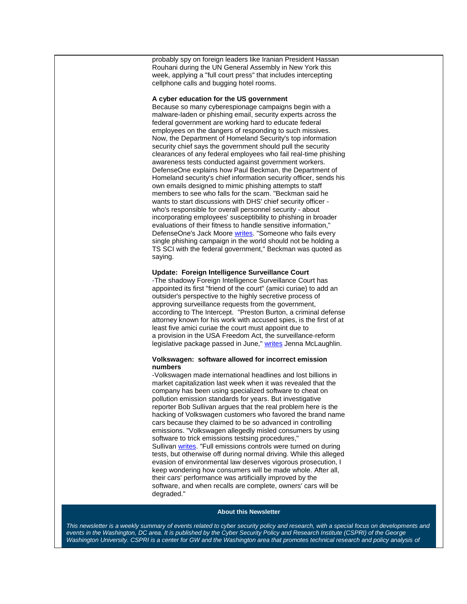probably spy on foreign leaders like Iranian President Hassan Rouhani during the UN General Assembly in New York this week, applying a "full court press" that includes intercepting cellphone calls and bugging hotel rooms.

#### **A cyber education for the US government**

Because so many cyberespionage campaigns begin with a malware-laden or phishing email, security experts across the federal government are working hard to educate federal employees on the dangers of responding to such missives. Now, the Department of Homeland Security's top information security chief says the government should pull the security clearances of any federal employees who fail real-time phishing awareness tests conducted against government workers. DefenseOne explains how Paul Beckman, the Department of Homeland security's chief information security officer, sends his own emails designed to mimic phishing attempts to staff members to see who falls for the scam. "Beckman said he wants to start discussions with DHS' chief security officer who's responsible for overall personnel security - about incorporating employees' susceptibility to phishing in broader evaluations of their fitness to handle sensitive information," DefenseOne's Jack Moore [writes.](http://www.defenseone.com/management/2015/09/should-hacked-feds-lose-security-clearance/121493/) "Someone who fails every single phishing campaign in the world should not be holding a TS SCI with the federal government," Beckman was quoted as saying.

#### **Update: Foreign Intelligence Surveillance Court**

-The shadowy Foreign Intelligence Surveillance Court has appointed its first "friend of the court" (amici curiae) to add an outsider's perspective to the highly secretive process of approving surveillance requests from the government, according to The Intercept. "Preston Burton, a [criminal defense](http://poeburton.com/preston-burton-biography.html)  [attorney](http://poeburton.com/preston-burton-biography.html) known for his work with accused spies, is the first of at least five amici curiae the court must appoint due to a [provision](https://www.lawfareblog.com/so-what-does-usa-freedom-act-do-anyway) in the USA Freedom Act, the surveillance-reform legislative package passed in June," [writes](https://theintercept.com/2015/09/25/secret-surveillance-court-picks-first-outsider-get-look/) Jenna McLaughlin.

#### **Volkswagen: software allowed for incorrect emission numbers**

-Volkswagen made international headlines and lost billions in market capitalization last week when it was revealed that the company has been using specialized software to cheat on pollution emission standards for years. But investigative reporter Bob Sullivan argues that the real problem here is the hacking of Volkswagen customers who favored the brand name cars because they claimed to be so advanced in controlling emissions. "Volkswagen allegedly misled consumers by using software to trick emissions testsing procedures," Sullivan [writes.](https://bobsullivan.net/cybercrime/privacy/volkswagen-software-tricked-emissions-tests-feds-say-hacking-of-customers-is-the-real-problem/) "Full emissions controls were turned on during tests, but otherwise off during normal driving. While this alleged evasion of environmental law deserves vigorous prosecution, I keep wondering how consumers will be made whole. After all, their cars' performance was artificially improved by the software, and when recalls are complete, owners' cars will be degraded."

#### **About this Newsletter**

This newsletter is a weekly summary of events related to cyber security policy and research, with a special focus on developments and *events in the Washington, DC area. It is published by the Cyber Security Policy and Research Institute (CSPRI) of the George*  Washington University. CSPRI is a center for GW and the Washington area that promotes technical research and policy analysis of